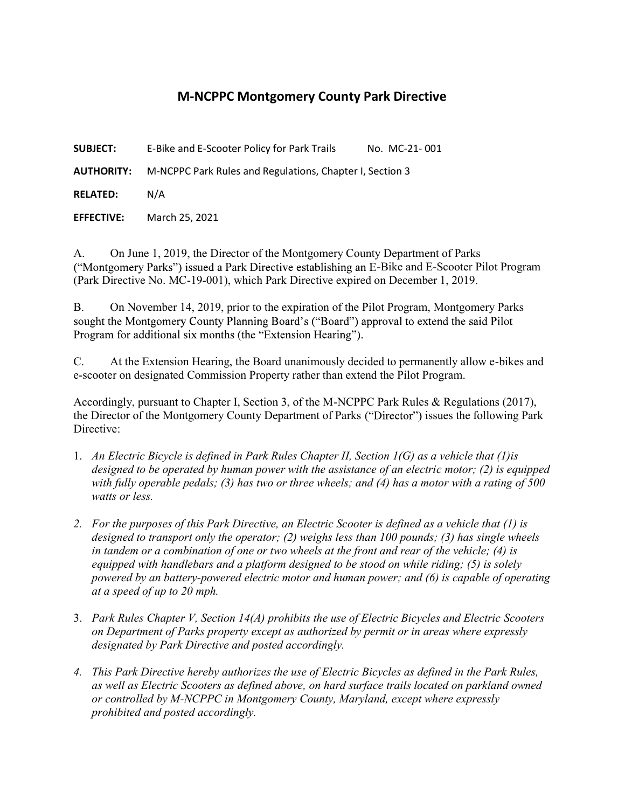## M-NCPPC Montgomery County Park Directive

**SUBJECT:** E-Bike and E-Scooter Policy for Park Trails No. MC-21-001

AUTHORITY: M-NCPPC Park Rules and Regulations, Chapter I, Section 3

RELATED: N/A

EFFECTIVE: March 25, 2021

A. On June 1, 2019, the Director of the Montgomery County Department of Parks ("Montgomery Parks") issued a Park Directive establishing an E-Bike and E-Scooter Pilot Program (Park Directive No. MC-19-001), which Park Directive expired on December 1, 2019.

B. On November 14, 2019, prior to the expiration of the Pilot Program, Montgomery Parks sought the Montgomery County Planning Board's ("Board") approval to extend the said Pilot Program for additional six months (the "Extension Hearing").

C. At the Extension Hearing, the Board unanimously decided to permanently allow e-bikes and e-scooter on designated Commission Property rather than extend the Pilot Program.

Accordingly, pursuant to Chapter I, Section 3, of the M-NCPPC Park Rules & Regulations (2017), the Director of the Montgomery County Department of Parks ("Director") issues the following Park Directive:

- 1. An Electric Bicycle is defined in Park Rules Chapter II, Section 1(G) as a vehicle that (1)is designed to be operated by human power with the assistance of an electric motor; (2) is equipped with fully operable pedals; (3) has two or three wheels; and (4) has a motor with a rating of 500 watts or less.
- 2. For the purposes of this Park Directive, an Electric Scooter is defined as a vehicle that (1) is designed to transport only the operator; (2) weighs less than 100 pounds; (3) has single wheels in tandem or a combination of one or two wheels at the front and rear of the vehicle; (4) is equipped with handlebars and a platform designed to be stood on while riding; (5) is solely powered by an battery-powered electric motor and human power; and (6) is capable of operating at a speed of up to 20 mph.
- 3. Park Rules Chapter V, Section 14(A) prohibits the use of Electric Bicycles and Electric Scooters on Department of Parks property except as authorized by permit or in areas where expressly designated by Park Directive and posted accordingly.
- 4. This Park Directive hereby authorizes the use of Electric Bicycles as defined in the Park Rules, as well as Electric Scooters as defined above, on hard surface trails located on parkland owned or controlled by M-NCPPC in Montgomery County, Maryland, except where expressly prohibited and posted accordingly.